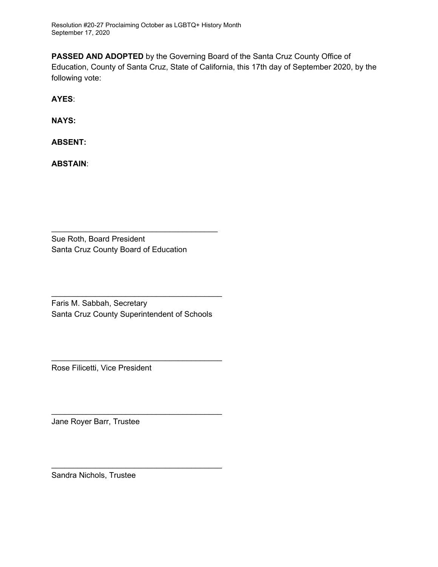Resolution #20-27 Proclaiming October as LGBTQ+ History Month September 17, 2020

**PASSED AND ADOPTED** by the Governing Board of the Santa Cruz County Office of Education, County of Santa Cruz, State of California, this 17th day of September 2020, by the following vote:

**AYES**:

**NAYS:**

**ABSENT:**

**ABSTAIN**:

 $\frac{1}{2}$ 

Sue Roth, Board President Santa Cruz County Board of Education

 $\frac{1}{2}$ 

Fari**s** M. Sabbah, Secretary Santa Cruz County Superintendent of Schools

 $\mu_{\text{max}}$ 

Rose Filicetti, Vice President

 $\frac{1}{2}$ 

Jane Royer Barr, Trustee

 $\mathcal{L}$ 

Sandra Nichols, Trustee